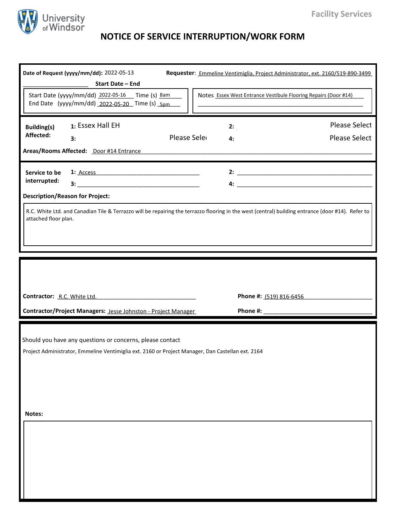

## **NOTICE OF SERVICE INTERRUPTION/WORK FORM**

| Date of Request (yyyy/mm/dd): 2022-05-13<br>Requester: Emmeline Ventimiglia, Project Administrator, ext. 2160/519-890-3499<br>Start Date - End                                                                                                   |                                              |
|--------------------------------------------------------------------------------------------------------------------------------------------------------------------------------------------------------------------------------------------------|----------------------------------------------|
| Start Date (yyyy/mm/dd) 2022-05-16 Time (s) 8am<br>Notes Essex West Entrance Vestibule Flooring Repairs (Door #14)<br>End Date (yyyy/mm/dd) 2022-05-20 Time (s) 5pm                                                                              |                                              |
| 1: Essex Hall EH<br><b>Building(s)</b><br>2:<br>Affected:<br>Please Sele<br>3:<br>4:<br>Areas/Rooms Affected: Door #14 Entrance Manual Manual Manual Manual Manual Manual Manual Manual Manual Manual                                            | <b>Please Select</b><br><b>Please Select</b> |
| 1: <u>Access</u><br>Service to be<br>interrupted:<br><b>Description/Reason for Project:</b><br>R.C. White Ltd. and Canadian Tile & Terrazzo will be repairing the terrazzo flooring in the west (central) building entrance (door #14). Refer to |                                              |
| attached floor plan.                                                                                                                                                                                                                             |                                              |
|                                                                                                                                                                                                                                                  |                                              |
| Phone #: (519) 816-6456<br>Contractor: R.C. White Ltd.                                                                                                                                                                                           |                                              |
| Contractor/Project Managers: Jesse Johnston - Project Manager                                                                                                                                                                                    |                                              |
| Should you have any questions or concerns, please contact<br>Project Administrator, Emmeline Ventimiglia ext. 2160 or Project Manager, Dan Castellan ext. 2164                                                                                   |                                              |